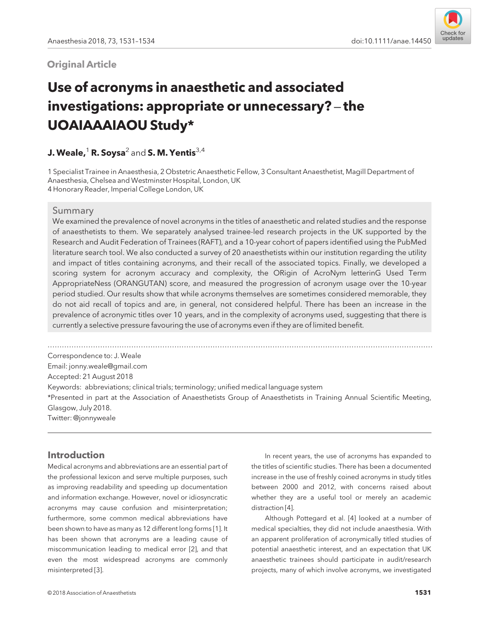## **Original Article**



# Use of acronyms in anaesthetic and associated investigations: appropriate or unnecessary? – the UOAIAAAIAOU Study\*

# J. Weale,<sup>1</sup> R. Soysa<sup>2</sup> and S. M. Yentis<sup>3,4</sup>

1 Specialist Trainee in Anaesthesia, 2 Obstetric Anaesthetic Fellow, 3 Consultant Anaesthetist, Magill Department of Anaesthesia, Chelsea and Westminster Hospital, London, UK 4 Honorary Reader, Imperial College London, UK

#### Summary

We examined the prevalence of novel acronyms in the titles of anaesthetic and related studies and the response of anaesthetists to them. We separately analysed trainee-led research projects in the UK supported by the Research and Audit Federation of Trainees (RAFT), and a 10-year cohort of papers identified using the PubMed literature search tool. We also conducted a survey of 20 anaesthetists within our institution regarding the utility and impact of titles containing acronyms, and their recall of the associated topics. Finally, we developed a scoring system for acronym accuracy and complexity, the ORigin of AcroNym letterinG Used Term AppropriateNess (ORANGUTAN) score, and measured the progression of acronym usage over the 10-year period studied. Our results show that while acronyms themselves are sometimes considered memorable, they do not aid recall of topics and are, in general, not considered helpful. There has been an increase in the prevalence of acronymic titles over 10 years, and in the complexity of acronyms used, suggesting that there is currently a selective pressure favouring the use of acronyms even if they are of limited benefit.

................................................................................................................................................................. Correspondence to: J. Weale Email: [jonny.weale@gmail.com](mailto:) Accepted: 21 August 2018 Keywords: abbreviations; clinical trials; terminology; unified medical language system \*Presented in part at the Association of Anaesthetists Group of Anaesthetists in Training Annual Scientific Meeting, Glasgow, July 2018. Twitter: @jonnyweale

# Introduction

Medical acronyms and abbreviations are an essential part of the professional lexicon and serve multiple purposes, such as improving readability and speeding up documentation and information exchange. However, novel or idiosyncratic acronyms may cause confusion and misinterpretation; furthermore, some common medical abbreviations have been shown to have as many as 12 different long forms [1]. It has been shown that acronyms are a leading cause of miscommunication leading to medical error [2], and that even the most widespread acronyms are commonly misinterpreted [3].

In recent years, the use of acronyms has expanded to the titles of scientific studies. There has been a documented increase in the use of freshly coined acronyms in study titles between 2000 and 2012, with concerns raised about whether they are a useful tool or merely an academic distraction [4].

Although Pottegard et al. [4] looked at a number of medical specialties, they did not include anaesthesia. With an apparent proliferation of acronymically titled studies of potential anaesthetic interest, and an expectation that UK anaesthetic trainees should participate in audit/research projects, many of which involve acronyms, we investigated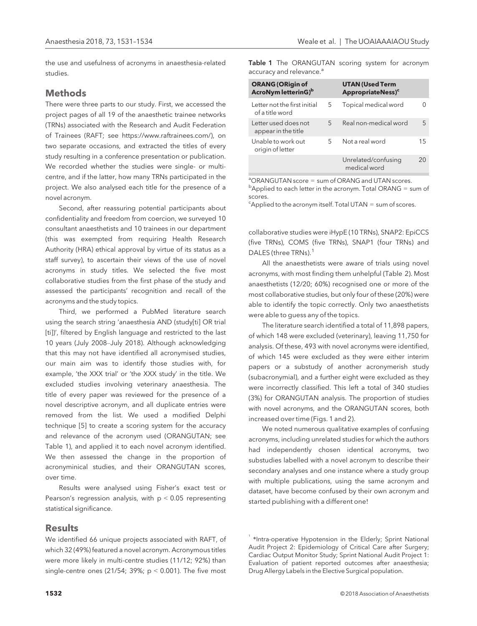the use and usefulness of acronyms in anaesthesia-related studies.

#### Methods

There were three parts to our study. First, we accessed the project pages of all 19 of the anaesthetic trainee networks (TRNs) associated with the Research and Audit Federation of Trainees (RAFT; see<https://www.raftrainees.com/>), on two separate occasions, and extracted the titles of every study resulting in a conference presentation or publication. We recorded whether the studies were single- or multicentre, and if the latter, how many TRNs participated in the project. We also analysed each title for the presence of a novel acronym.

Second, after reassuring potential participants about confidentiality and freedom from coercion, we surveyed 10 consultant anaesthetists and 10 trainees in our department (this was exempted from requiring Health Research Authority (HRA) ethical approval by virtue of its status as a staff survey), to ascertain their views of the use of novel acronyms in study titles. We selected the five most collaborative studies from the first phase of the study and assessed the participants' recognition and recall of the acronyms and the study topics.

Third, we performed a PubMed literature search using the search string 'anaesthesia AND (study[ti] OR trial [ti])', filtered by English language and restricted to the last 10 years (July 2008–July 2018). Although acknowledging that this may not have identified all acronymised studies, our main aim was to identify those studies with, for example, 'the XXX trial' or 'the XXX study' in the title. We excluded studies involving veterinary anaesthesia. The title of every paper was reviewed for the presence of a novel descriptive acronym, and all duplicate entries were removed from the list. We used a modified Delphi technique [5] to create a scoring system for the accuracy and relevance of the acronym used (ORANGUTAN; see Table 1), and applied it to each novel acronym identified. We then assessed the change in the proportion of acronyminical studies, and their ORANGUTAN scores, over time.

Results were analysed using Fisher's exact test or Pearson's regression analysis, with  $p < 0.05$  representing statistical significance.

#### Results

We identified 66 unique projects associated with RAFT, of which 32 (49%) featured a novel acronym. Acronymous titles were more likely in multi-centre studies (11/12; 92%) than single-centre ones (21/54; 39%;  $p < 0.001$ ). The five most Table 1 The ORANGUTAN scoring system for acronym accuracy and relevance.<sup>a</sup>

| <b>ORANG (ORigin of</b><br>AcroNym letterinG) <sup>b</sup> |   | <b>UTAN (Used Term</b><br>AppropriateNess) <sup>c</sup> |    |
|------------------------------------------------------------|---|---------------------------------------------------------|----|
| Letter not the first initial<br>of a title word            | 5 | Topical medical word                                    |    |
| Letter used does not<br>appear in the title                | 5 | Real non-medical word                                   | 5  |
| Unable to work out<br>origin of letter                     | 5 | Not a real word                                         | 15 |
|                                                            |   | Unrelated/confusing<br>medical word                     | 20 |

<sup>a</sup>ORANGUTAN score = sum of ORANG and UTAN scores.

<sup>a</sup>ORANGUTAN score = sum of ORANG and UTAN scores.<br><sup>b</sup>Applied to each letter in the acronym. Total ORANG = sum of scores.

 $c^c$ Applied to the acronym itself. Total UTAN = sum of scores.

collaborative studies were iHypE (10 TRNs), SNAP2: EpiCCS (five TRNs), COMS (five TRNs), SNAP1 (four TRNs) and DALES (three TRNs).<sup>1</sup>

All the anaesthetists were aware of trials using novel acronyms, with most finding them unhelpful (Table 2). Most anaesthetists (12/20; 60%) recognised one or more of the most collaborative studies, but only four of these (20%) were able to identify the topic correctly. Only two anaesthetists were able to guess any of the topics.

The literature search identified a total of 11,898 papers, of which 148 were excluded (veterinary), leaving 11,750 for analysis. Of these, 493 with novel acronyms were identified, of which 145 were excluded as they were either interim papers or a substudy of another acronymerish study (subacronymial), and a further eight were excluded as they were incorrectly classified. This left a total of 340 studies (3%) for ORANGUTAN analysis. The proportion of studies with novel acronyms, and the ORANGUTAN scores, both increased over time (Figs. 1 and 2).

We noted numerous qualitative examples of confusing acronyms, including unrelated studies for which the authors had independently chosen identical acronyms, two substudies labelled with a novel acronym to describe their secondary analyses and one instance where a study group with multiple publications, using the same acronym and dataset, have become confused by their own acronym and started publishing with a different one!

<sup>&</sup>lt;sup>1</sup> \*Intra-operative Hypotension in the Elderly; Sprint National Audit Project 2: Epidemiology of Critical Care after Surgery; Cardiac Output Monitor Study; Sprint National Audit Project 1: Evaluation of patient reported outcomes after anaesthesia; Drug Allergy Labels in the Elective Surgical population.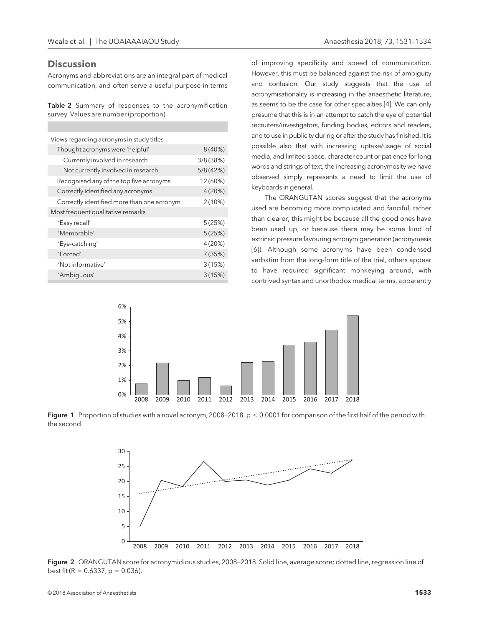#### **Discussion**

Acronyms and abbreviations are an integral part of medical communication, and often serve a useful purpose in terms

Table 2 Summary of responses to the acronymification survey. Values are number (proportion).

| Views regarding acronyms in study titles   |          |  |  |
|--------------------------------------------|----------|--|--|
| Thought acronyms were 'helpful'            | 8(40%)   |  |  |
| Currently involved in research             | 3/8(38%) |  |  |
| Not currently involved in research         | 5/8(42%) |  |  |
| Recognised any of the top five acronyms    | 12 (60%) |  |  |
| Correctly identified any acronyms          | 4(20%)   |  |  |
| Correctly identified more than one acronym | 2(10%)   |  |  |
| Most frequent qualitative remarks          |          |  |  |
| 'Easy recall'                              | 5(25%)   |  |  |
| 'Memorable'                                | 5(25%)   |  |  |
| 'Eye-catching'                             | 4(20%)   |  |  |
| 'Forced'                                   | 7(35%)   |  |  |
| 'Not informative'                          | 3(15%)   |  |  |
| 'Ambiguous'                                | 3(15%)   |  |  |

of improving specificity and speed of communication. However, this must be balanced against the risk of ambiguity and confusion. Our study suggests that the use of acronymisationality is increasing in the anaesthetic literature, as seems to be the case for other specialties [4]. We can only presume that this is in an attempt to catch the eye of potential recruiters/investigators, funding bodies, editors and readers, and to use in publicity during or after the study has finished. It is possible also that with increasing uptake/usage of social media, and limited space, character count or patience for long words and strings of text, the increasing acronymosity we have observed simply represents a need to limit the use of keyboards in general.

The ORANGUTAN scores suggest that the acronyms used are becoming more complicated and fanciful, rather than clearer; this might be because all the good ones have been used up, or because there may be some kind of extrinsic pressure favouring acronym generation (acronymesis [6]). Although some acronyms have been condensed verbatim from the long-form title of the trial, others appear to have required significant monkeying around, with contrived syntax and unorthodox medical terms, apparently



Figure 1 Proportion of studies with a novel acronym, 2008–2018. p < 0.0001 for comparison of the first half of the period with the second.



Figure 2 ORANGUTAN score for acronymidious studies, 2008-2018. Solid line, average score; dotted line, regression line of best fit (R =  $0.6337$ ; p =  $0.036$ ).